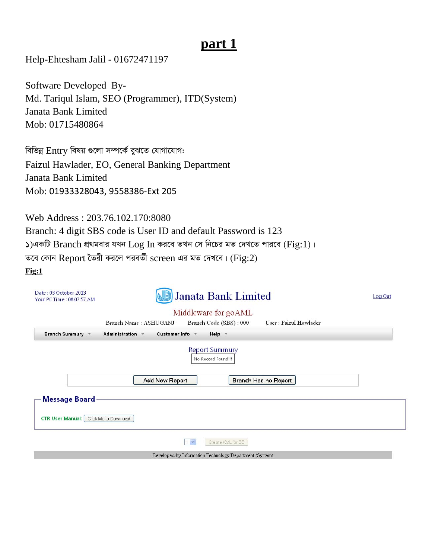# part 1

Help-Ehtesham Jalil - 01672471197

Software Developed By-Md. Tariqul Islam, SEO (Programmer), ITD(System) Janata Bank Limited Mob: 01715480864

বিভিন্ন Entry বিষয় গুলো সম্পর্কে বুঝতে যোগাযোগ: Faizul Hawlader, EO, General Banking Department Janata Bank Limited Mob: 01933328043, 9558386-Ext 205

Web Address: 203.76.102.170:8080 Branch: 4 digit SBS code is User ID and default Password is 123  $\lambda$ )একটি Branch প্রথমবার যখন  $\text{Log In}$  করবে তখন সে নিচের মত দেখতে পারবে (Fig:1)। তবে কোন Report তৈরী করলে পরবর্তী screen এর মত দেখবে। (Fig:2)  $Fig:1$ 

| Date: 03 October 2013<br>Your PC Time: 08:07:57 AM                                    | Janata Bank Limited<br>B                                |                                                         |                       |  |  |  |  |  |  |
|---------------------------------------------------------------------------------------|---------------------------------------------------------|---------------------------------------------------------|-----------------------|--|--|--|--|--|--|
| Middleware for goAML                                                                  |                                                         |                                                         |                       |  |  |  |  |  |  |
|                                                                                       | Branch Name: ASHUGANJ                                   | Branch Code (SBS): 000                                  | User: Faizul Howlader |  |  |  |  |  |  |
| <b>Branch Summury</b>                                                                 | <b>Customer Info</b><br>Administration<br>$\mathcal{R}$ | Help +                                                  |                       |  |  |  |  |  |  |
| <b>Report Summury</b><br>No Record Found!!!<br>Branch Has no Report<br>Add New Report |                                                         |                                                         |                       |  |  |  |  |  |  |
| <b>Message Board</b><br><b>CTR User Manual:</b>                                       | Click Me to Download                                    |                                                         |                       |  |  |  |  |  |  |
|                                                                                       |                                                         | $1 -$<br>Create XML for BB                              |                       |  |  |  |  |  |  |
|                                                                                       |                                                         | Developed by Information Technology Department (System) |                       |  |  |  |  |  |  |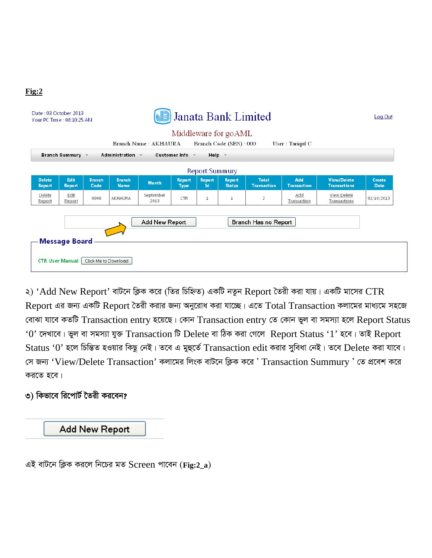| <b>Branch Summury</b>          |                | $\overline{\mathbf{v}}$ | <b>Administration</b>        | Branch Name: AKHAURA<br>$\mathbf{v}$ | <b>Customer Info</b>  | Help -                     | Middleware for goAML<br>Branch Code (SBS): 000 |                                    | User: Tariqul C           |                                           |                       |
|--------------------------------|----------------|-------------------------|------------------------------|--------------------------------------|-----------------------|----------------------------|------------------------------------------------|------------------------------------|---------------------------|-------------------------------------------|-----------------------|
| <b>Report Summury</b>          |                |                         |                              |                                      |                       |                            |                                                |                                    |                           |                                           |                       |
| <b>Delete</b><br><b>Report</b> | Edit<br>Report | <b>Branch</b><br>Code   | <b>Branch</b><br><b>Name</b> | <b>Month</b>                         | <b>Report</b><br>Type | <b>Report</b><br><b>Id</b> | <b>Report</b><br><b>Status</b>                 | <b>Total</b><br><b>Transaction</b> | Add<br><b>Transaction</b> | <b>View/Delete</b><br><b>Transactions</b> | Create<br><b>Date</b> |
| Delete<br>Report               | Edit<br>Report | 0006                    | AKHAURA                      | September<br>2013                    | <b>CTR</b>            | $\mathbf 1$                | $\mathbf 1$                                    | 2                                  | Add<br>Transaction        | View/Delete<br>Transactions               | 02/10/2013            |
|                                |                |                         |                              | Add New Report                       |                       |                            |                                                | Branch Has no Report               |                           |                                           |                       |

২) 'Add New Report' বাটনে ক্লিক করে (তির চিহ্নিত) একটি নতুন Report তৈরী করা যায়। একটি মাসের  $CTR$ Report এর জন্য একটি Report তৈরী করার জন্য অনুরোধ করা যাচ্ছে। এতে Total Transaction কলামের মাধ্যমে সহজে বোঝা যাবে কতটি Transaction entry হয়েছে। কোন Transaction entry তে কোন ভুল বা সমস্যা হলে Report Status ' $0$ ' দেখাবে। ভুল বা সমস্যা যুক্ত Transaction টি Delete বা ঠিক করা গেলে Report Status '1' হবে। তাই Report Status '0' হলে চিম্ভিত হওয়ার কিছু নেই। তবে এ মুহুর্তে Transaction edit করার সুবিধা নেই। তবে Delete করা যাবে। সে জন্য 'View/Delete Transaction' কলামের লিংক বাটনে ক্লিক করে ' Transaction Summury ' তে প্রবেশ করে করতে হবে।

#### ৩) কিভাবে রিপোর্ট তৈরী করবেন?

**Fig:2**

Add New Report

এই বাটনে ক্লিক করলে নিচের মত  $S$ creen পাবেন (Fig:2\_a)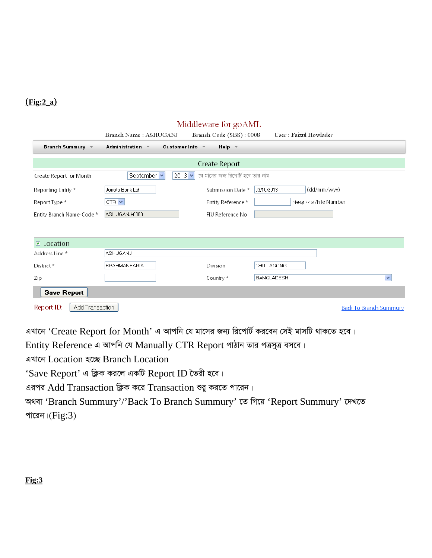#### $(Fig:2_a)$

| Middleware for goAML                                                                                                               |                              |                                   |                                   |  |  |  |  |  |  |
|------------------------------------------------------------------------------------------------------------------------------------|------------------------------|-----------------------------------|-----------------------------------|--|--|--|--|--|--|
|                                                                                                                                    | Branch Name : ASHUGANJ       | Branch Code (SBS): 0008           | User: Faizul Howlader             |  |  |  |  |  |  |
| <b>Customer Info</b><br><b>Branch Summury</b><br>Administration $\sim$<br>Help $\sim$<br>$\rightarrow$<br>$\overline{\phantom{a}}$ |                              |                                   |                                   |  |  |  |  |  |  |
|                                                                                                                                    |                              |                                   |                                   |  |  |  |  |  |  |
| Create Report                                                                                                                      |                              |                                   |                                   |  |  |  |  |  |  |
| Create Report for Month                                                                                                            | $2013 \times$<br>September v | যে মালের জন্য রিপোর্ট হবে তার নাম |                                   |  |  |  |  |  |  |
| Reporting Entity *                                                                                                                 | Janata Bank Ltd              | Submission Date *                 | 03/10/2013<br>(dd/mm/yyyy)        |  |  |  |  |  |  |
| Report Type *                                                                                                                      | $CTR$ $\vee$                 | Entity Reference *                | পত্তদূত বসৰে/File Number          |  |  |  |  |  |  |
| Entity Branch Name-Code *                                                                                                          | ASHUGANJ-0008                | FIU Reference No                  |                                   |  |  |  |  |  |  |
|                                                                                                                                    |                              |                                   |                                   |  |  |  |  |  |  |
| $\boxdot$ Location                                                                                                                 |                              |                                   |                                   |  |  |  |  |  |  |
|                                                                                                                                    | <b>ASHUGANJ</b>              |                                   |                                   |  |  |  |  |  |  |
| Address Line *                                                                                                                     |                              |                                   |                                   |  |  |  |  |  |  |
| District*                                                                                                                          | BRAHMANBARIA                 | Division                          | <b>CHITTAGONG</b>                 |  |  |  |  |  |  |
| Zip                                                                                                                                |                              | Country *                         | <b>BANGLADESH</b><br>$\checkmark$ |  |  |  |  |  |  |
| <b>Save Report</b>                                                                                                                 |                              |                                   |                                   |  |  |  |  |  |  |
| Report ID:<br>Add Transaction<br><b>Back To Branch Summury</b>                                                                     |                              |                                   |                                   |  |  |  |  |  |  |

এখানে 'Create Report for Month' এ আপনি যে মাসের জন্য রিপোর্ট করবেন সেই মাসটি থাকতে হবে।

Entity Reference এ আপনি যে Manually CTR Report পাঠান তার পত্রসুত্র বসবে।

এখানে Location হচ্ছে Branch Location

'Save Report' এ ক্লিক করলে একটি Report ID তৈরী হবে।

এরপর Add Transaction ক্লিক করে Transaction শুরু করতে পারেন।

অথবা 'Branch Summury'/'Back To Branch Summury' তে গিয়ে 'Report Summury' দেখতে পারেন। $(Fig:3)$ 

#### $Fig:3$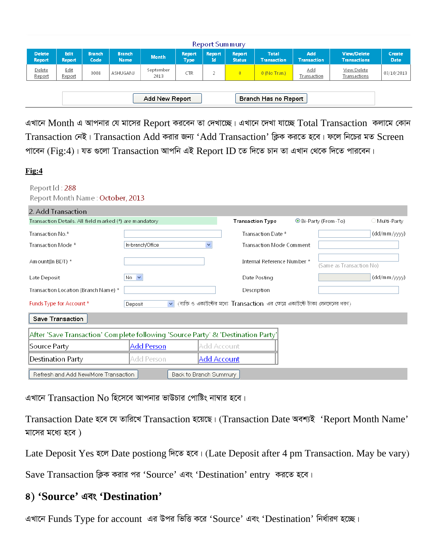| Report Summury                         |                       |                       |                        |                   |                              |                       |                                |                                    |                           |                                           |                              |
|----------------------------------------|-----------------------|-----------------------|------------------------|-------------------|------------------------------|-----------------------|--------------------------------|------------------------------------|---------------------------|-------------------------------------------|------------------------------|
| <b>Delete</b><br>Report                | Edit<br><b>Report</b> | <b>Branch</b><br>Code | Branch.<br><b>Name</b> | <b>Month</b>      | <b>Report</b><br><b>Type</b> | <b>Report</b><br>Id ' | <b>Report</b><br><b>Status</b> | <b>Total</b><br><b>Transaction</b> | Add<br><b>Transaction</b> | <b>View/Delete</b><br><b>Transactions</b> | <b>Create</b><br><b>Date</b> |
| Delete<br>Report                       | <u>Edit</u><br>Report | 0008                  | ASHUGANJ               | September<br>2013 | CTR                          | 2                     | $\mathbf{0}$                   | $0$ (No Tran.)                     | Add<br>Transaction        | View/Delete<br>Transactions               | 03/10/2013                   |
| Branch Has no Report<br>Add New Report |                       |                       |                        |                   |                              |                       |                                |                                    |                           |                                           |                              |

এখানে Month এ আপনার যে মাসের Report করবেন তা দেখাচ্ছে। এখানে দেখা যাচ্ছে  $\rm Total \; Transaction \;$  কলামে কোন Transaction নেই। Transaction Add করার জন্য 'Add Transaction' ক্লিক করতে হবে। ফলে নিচের মত Screen পাবেন (Fig:4)। যত গুলো Transaction আপনি এই Report ID তে দিতে চান তা এখান থেকে দিতে পারবেন।

#### **Fig:4**

#### Report Id: 288 Report Month Name: October, 2013

| 2. Add Transaction                                                               |                         |              |                                                                                |  |                          |              |  |  |  |
|----------------------------------------------------------------------------------|-------------------------|--------------|--------------------------------------------------------------------------------|--|--------------------------|--------------|--|--|--|
| Transaction Details. All field marked (*) are mandatory                          |                         |              | <b>Transaction Type</b>                                                        |  | ⊙ Bi-Party (From-To)     | Multi-Party  |  |  |  |
| Transaction No.*                                                                 |                         |              | Transaction Date *                                                             |  |                          | (dd/mm/yyyy) |  |  |  |
| Transaction Mode *                                                               | In-branch/Office        | $\checkmark$ | <b>Transaction Mode Comment</b>                                                |  |                          |              |  |  |  |
| Am ount(In BDT) *                                                                |                         |              | Internal Reference Number *                                                    |  | (Same as Transaction No) |              |  |  |  |
| Late Deposit                                                                     | $No \nightharpoonup$    |              | Date Posting                                                                   |  |                          | (dd/mm/yyyy) |  |  |  |
| Transaction Location (Branch Name) *                                             |                         |              | Description                                                                    |  |                          |              |  |  |  |
| Funds Type for Account *                                                         | $\checkmark$<br>Deposit |              | (ব্যক্তি ও একাউন্টের মধ্যে Transaction এর ক্ষেত্রে একাউন্টে টাকা লেনদেনের ধরণ) |  |                          |              |  |  |  |
| Save Transaction                                                                 |                         |              |                                                                                |  |                          |              |  |  |  |
| After 'Save Transaction' Complete following 'Source Party' & 'Destination Party' |                         |              |                                                                                |  |                          |              |  |  |  |
| Source Party                                                                     | <b>Add Person</b>       |              | Add Account                                                                    |  |                          |              |  |  |  |
| Destination Party                                                                | Add Person              |              | Add Account                                                                    |  |                          |              |  |  |  |
| Refresh and Add New/More Transaction                                             | Back to Branch Summury  |              |                                                                                |  |                          |              |  |  |  |

এখানে  $\rm{Transformer}$   $\rm{No}$  হিসেবে আপনার ভাউচার পোষ্টিং নাম্বার হবে।

Transaction Date হবে যে তারিখে Transaction হয়েছে। (Transaction Date অবশ্যই 'Report Month Name' মাসের মধ্যে হবে)

Late Deposit Yes হলে Date postiong দিতে হবে। (Late Deposit after 4 pm Transaction. May be vary)

Save Transaction ক্লিক করার পর 'Source' এবং 'Destination' entry করতে হবে।

### **4) 'Source' Ges 'Destination'**

এখানে Funds Type for account এর উপর ভিত্তি করে 'Source' এবং 'Destination' নির্ধারণ হচ্ছে।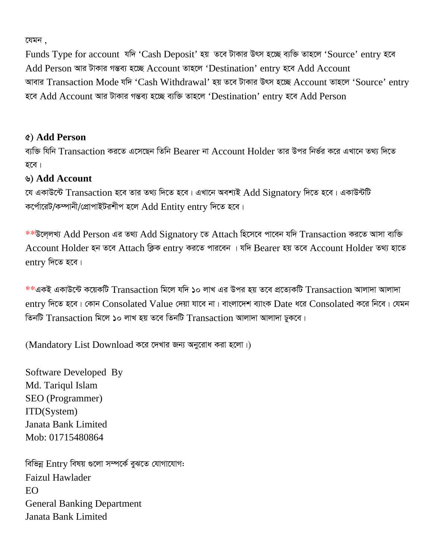যেমন $\,$  .

Funds Type for account যদি 'Cash Deposit' হয় তবে টাকার উৎস হচ্ছে ব্যক্তি তাহলে 'Source' entry হবে Add Person আর টাকার গন্তব্য হচ্ছে Account তাহলে 'Destination' entry হবে Add Account আবার Transaction Mode যদি 'Cash Withdrawal' হয় তবে টাকার উৎস হচ্ছে Account তাহলে 'Source' entry হবে Add Account আর টাকার গন্তব্য হচ্ছে ব্যক্তি তাহলে 'Destination' entry হবে Add Person

#### **5) Add Person**

ব্যক্তি যিনি Transaction করতে এসেছেন তিনি Bearer না Account Holder তার উপর নির্ভর করে এখানে তথ্য দিতে হবে।

#### **6) Add Account**

যে একাউন্টে Transaction হবে তার তথ্য দিতে হবে। এখানে অবশ্যই Add Signatory দিতে হবে। একাউন্টটি কর্পোরেট/কম্পানী/প্রোপাইটরশীপ হলে  $\operatorname{Add} \operatorname{Entity}$  entry দিতে হবে।

\*\*উলেলখ্য Add Person এর তথ্য Add Signatory তে Attach হিসেবে পাবেন যদি Transaction করতে আসা ব্যক্তি Account Holder হন তবে Attach ক্লিক entry করতে পারবেন । যদি Bearer হয় তবে Account Holder তথ্য হাতে  $entry$  দিতে হবে।

 $\ast\ast$ একই একাউন্টে কয়েকটি  $\mathrm{Transaction}$  মিলে যদি ১০ লাখ এর উপর হয় তবে প্রত্যেকটি  $\mathrm{Transaction}$  আলাদা আলাদা entry দিতে হবে। কোন Consolated Value দেয়া যাবে না। বাংলাদেশ ব্যাংক Date ধরে Consolated করে নিবে। যেমন তিনটি  $Transaction$  মিলে ১০ লাখ হয় তবে তিনটি  $Transaction$  আলাদা আলাদা ঢুকবে।

(Mandatory List Download করে দেখার জন্য অনুরোধ করা হলো।)

Software Developed By Md. Tariqul Islam SEO (Programmer) ITD(System) Janata Bank Limited Mob: 01715480864

বিভিন্ন Entry বিষয় গুলো সম্পৰ্কে বুঝতে যোগাযোগ: Faizul Hawlader EO General Banking Department Janata Bank Limited